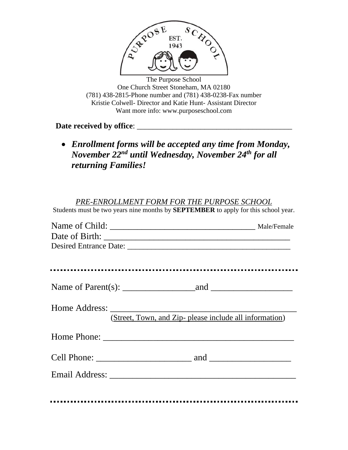

The Purpose School One Church Street Stoneham, MA 02180 (781) 438-2815-Phone number and (781) 438-0238-Fax number Kristie Colwell- Director and Katie Hunt- Assistant Director Want more info: www.purposeschool.com

**Date received by office**: \_\_\_\_\_\_\_\_\_\_\_\_\_\_\_\_\_\_\_\_\_\_\_\_\_\_\_\_\_\_\_\_\_\_\_\_\_\_\_

• *Enrollment forms will be accepted any time from Monday, November 22 nd until Wednesday, November 24 th for all returning Families!*

## *PRE-ENROLLMENT FORM FOR THE PURPOSE SCHOOL*

Students must be two years nine months by **SEPTEMBER** to apply for this school year.

| (Street, Town, and Zip- please include all information) |
|---------------------------------------------------------|
|                                                         |
|                                                         |
|                                                         |
|                                                         |
|                                                         |